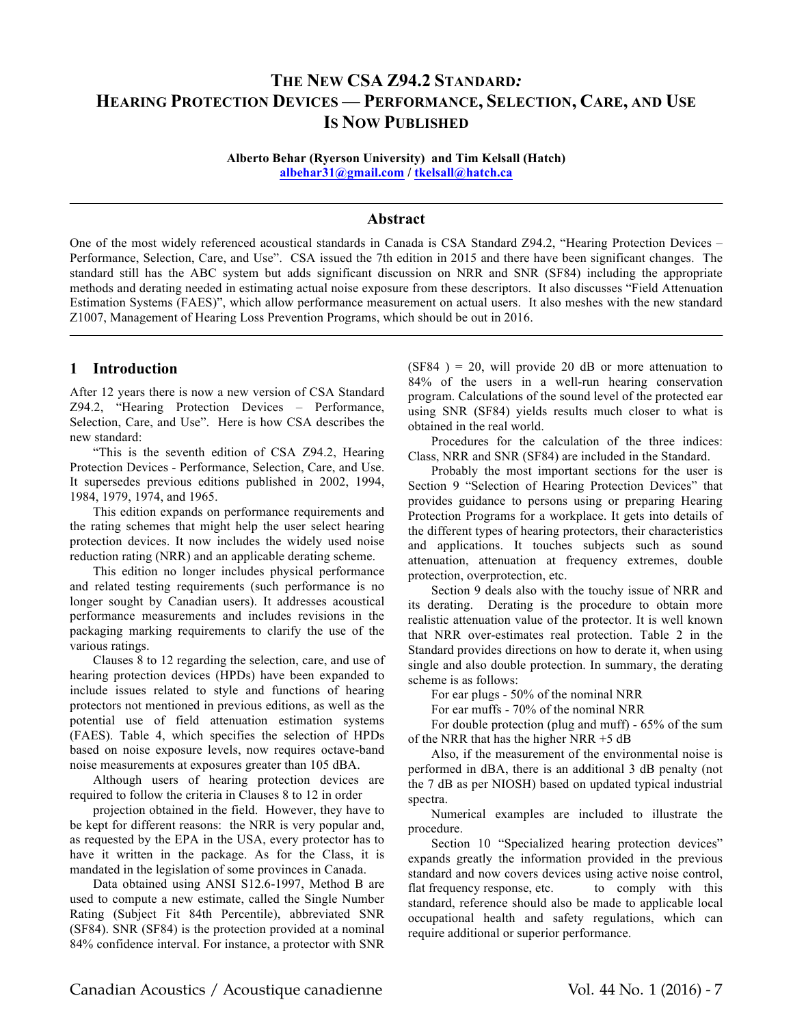# **THE NEW CSA Z94.2 STANDARD***:* **HEARING PROTECTION DEVICES — PERFORMANCE, SELECTION, CARE, AND USE IS NOW PUBLISHED**

**Alberto Behar (Ryerson University) and Tim Kelsall (Hatch) albehar31@gmail.com / tkelsall@hatch.ca**

#### **Abstract**

One of the most widely referenced acoustical standards in Canada is CSA Standard Z94.2, "Hearing Protection Devices – Performance, Selection, Care, and Use". CSA issued the 7th edition in 2015 and there have been significant changes. The standard still has the ABC system but adds significant discussion on NRR and SNR (SF84) including the appropriate methods and derating needed in estimating actual noise exposure from these descriptors. It also discusses "Field Attenuation Estimation Systems (FAES)", which allow performance measurement on actual users. It also meshes with the new standard Z1007, Management of Hearing Loss Prevention Programs, which should be out in 2016.

#### **1 Introduction**

After 12 years there is now a new version of CSA Standard Z94.2, "Hearing Protection Devices – Performance, Selection, Care, and Use". Here is how CSA describes the new standard:

"This is the seventh edition of CSA Z94.2, Hearing Protection Devices - Performance, Selection, Care, and Use. It supersedes previous editions published in 2002, 1994, 1984, 1979, 1974, and 1965.

This edition expands on performance requirements and the rating schemes that might help the user select hearing protection devices. It now includes the widely used noise reduction rating (NRR) and an applicable derating scheme.

This edition no longer includes physical performance and related testing requirements (such performance is no longer sought by Canadian users). It addresses acoustical performance measurements and includes revisions in the packaging marking requirements to clarify the use of the various ratings.

Clauses 8 to 12 regarding the selection, care, and use of hearing protection devices (HPDs) have been expanded to include issues related to style and functions of hearing protectors not mentioned in previous editions, as well as the potential use of field attenuation estimation systems (FAES). Table 4, which specifies the selection of HPDs based on noise exposure levels, now requires octave-band noise measurements at exposures greater than 105 dBA.

Although users of hearing protection devices are required to follow the criteria in Clauses 8 to 12 in order

projection obtained in the field. However, they have to be kept for different reasons: the NRR is very popular and, as requested by the EPA in the USA, every protector has to have it written in the package. As for the Class, it is mandated in the legislation of some provinces in Canada.

Data obtained using ANSI S12.6-1997, Method B are used to compute a new estimate, called the Single Number Rating (Subject Fit 84th Percentile), abbreviated SNR (SF84). SNR (SF84) is the protection provided at a nominal 84% confidence interval. For instance, a protector with SNR  $(SF84) = 20$ , will provide 20 dB or more attenuation to 84% of the users in a well-run hearing conservation program. Calculations of the sound level of the protected ear using SNR (SF84) yields results much closer to what is obtained in the real world.

Procedures for the calculation of the three indices: Class, NRR and SNR (SF84) are included in the Standard.

Probably the most important sections for the user is Section 9 "Selection of Hearing Protection Devices" that provides guidance to persons using or preparing Hearing Protection Programs for a workplace. It gets into details of the different types of hearing protectors, their characteristics and applications. It touches subjects such as sound attenuation, attenuation at frequency extremes, double protection, overprotection, etc.

Section 9 deals also with the touchy issue of NRR and its derating. Derating is the procedure to obtain more realistic attenuation value of the protector. It is well known that NRR over-estimates real protection. Table 2 in the Standard provides directions on how to derate it, when using single and also double protection. In summary, the derating scheme is as follows:

For ear plugs - 50% of the nominal NRR

For ear muffs - 70% of the nominal NRR

For double protection (plug and muff) - 65% of the sum of the NRR that has the higher NRR +5 dB

Also, if the measurement of the environmental noise is performed in dBA, there is an additional 3 dB penalty (not the 7 dB as per NIOSH) based on updated typical industrial spectra.

Numerical examples are included to illustrate the procedure.

Section 10 "Specialized hearing protection devices" expands greatly the information provided in the previous standard and now covers devices using active noise control, flat frequency response, etc. to comply with this standard, reference should also be made to applicable local occupational health and safety regulations, which can require additional or superior performance.